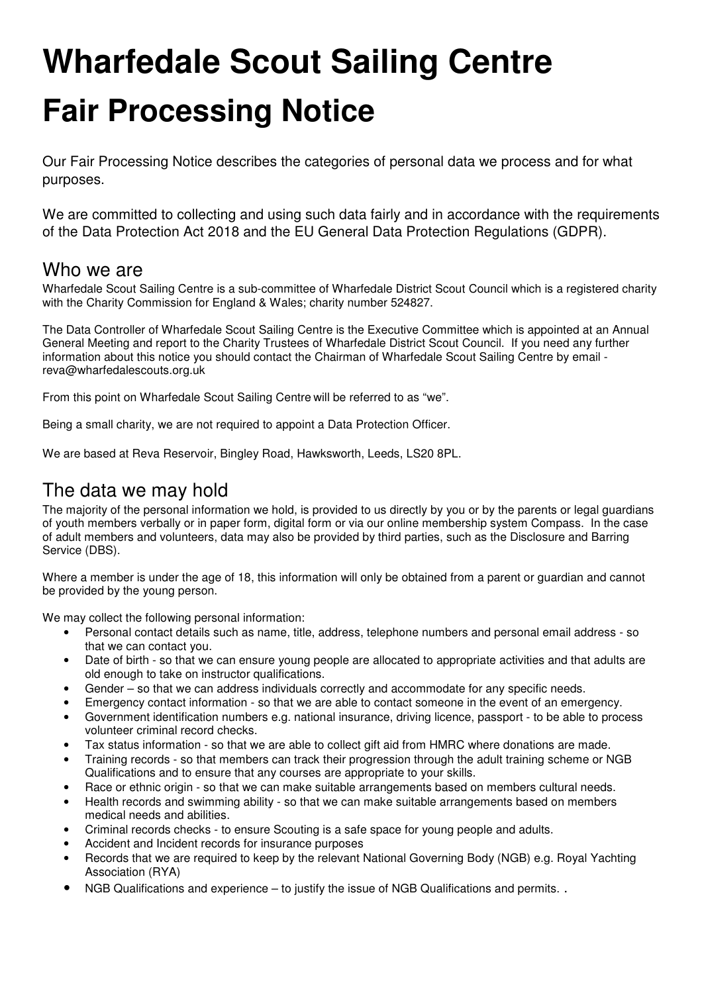# **Wharfedale Scout Sailing Centre Fair Processing Notice**

Our Fair Processing Notice describes the categories of personal data we process and for what purposes.

We are committed to collecting and using such data fairly and in accordance with the requirements of the Data Protection Act 2018 and the EU General Data Protection Regulations (GDPR).

### Who we are

Wharfedale Scout Sailing Centre is a sub-committee of Wharfedale District Scout Council which is a registered charity with the Charity Commission for England & Wales; charity number 524827.

The Data Controller of Wharfedale Scout Sailing Centre is the Executive Committee which is appointed at an Annual General Meeting and report to the Charity Trustees of Wharfedale District Scout Council. If you need any further information about this notice you should contact the Chairman of Wharfedale Scout Sailing Centre by email reva@wharfedalescouts.org.uk

From this point on Wharfedale Scout Sailing Centre will be referred to as "we".

Being a small charity, we are not required to appoint a Data Protection Officer.

We are based at Reva Reservoir, Bingley Road, Hawksworth, Leeds, LS20 8PL.

## The data we may hold

The majority of the personal information we hold, is provided to us directly by you or by the parents or legal guardians of youth members verbally or in paper form, digital form or via our online membership system Compass. In the case of adult members and volunteers, data may also be provided by third parties, such as the Disclosure and Barring Service (DBS).

Where a member is under the age of 18, this information will only be obtained from a parent or guardian and cannot be provided by the young person.

We may collect the following personal information:

- Personal contact details such as name, title, address, telephone numbers and personal email address so that we can contact you.
- Date of birth so that we can ensure young people are allocated to appropriate activities and that adults are old enough to take on instructor qualifications.
- Gender so that we can address individuals correctly and accommodate for any specific needs.
- Emergency contact information so that we are able to contact someone in the event of an emergency.
- Government identification numbers e.g. national insurance, driving licence, passport to be able to process volunteer criminal record checks.
- Tax status information so that we are able to collect gift aid from HMRC where donations are made.
- Training records so that members can track their progression through the adult training scheme or NGB Qualifications and to ensure that any courses are appropriate to your skills.
- Race or ethnic origin so that we can make suitable arrangements based on members cultural needs.
- Health records and swimming ability so that we can make suitable arrangements based on members medical needs and abilities.
- Criminal records checks to ensure Scouting is a safe space for young people and adults.
- Accident and Incident records for insurance purposes
- Records that we are required to keep by the relevant National Governing Body (NGB) e.g. Royal Yachting Association (RYA)
- NGB Qualifications and experience to justify the issue of NGB Qualifications and permits. .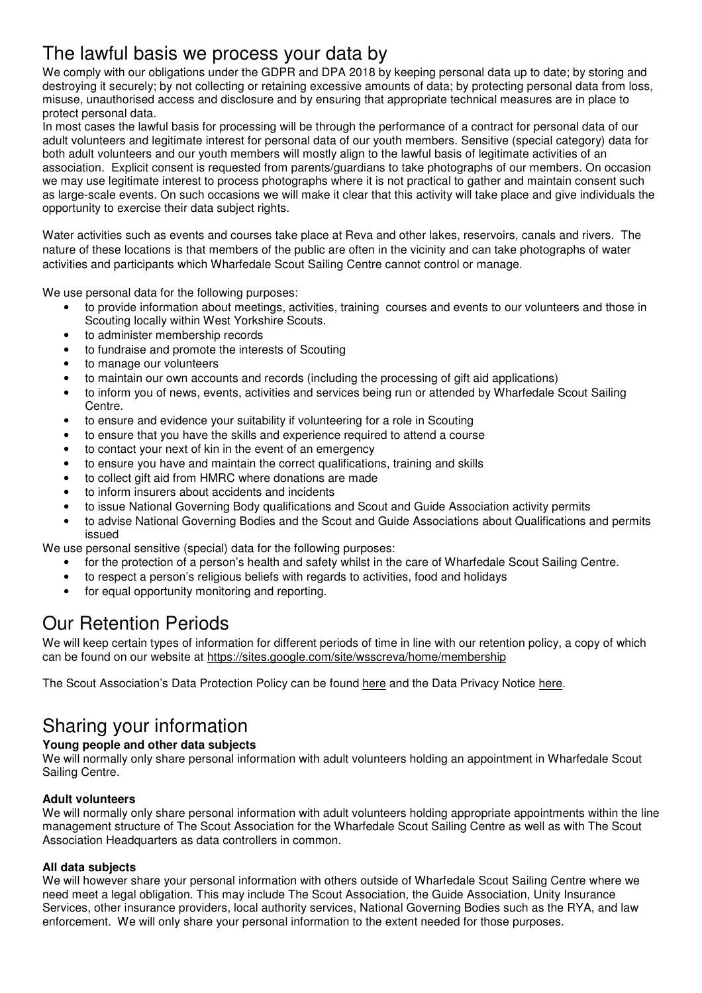## The lawful basis we process your data by

We comply with our obligations under the GDPR and DPA 2018 by keeping personal data up to date; by storing and destroying it securely; by not collecting or retaining excessive amounts of data; by protecting personal data from loss, misuse, unauthorised access and disclosure and by ensuring that appropriate technical measures are in place to protect personal data.

In most cases the lawful basis for processing will be through the performance of a contract for personal data of our adult volunteers and legitimate interest for personal data of our youth members. Sensitive (special category) data for both adult volunteers and our youth members will mostly align to the lawful basis of legitimate activities of an association. Explicit consent is requested from parents/guardians to take photographs of our members. On occasion we may use legitimate interest to process photographs where it is not practical to gather and maintain consent such as large-scale events. On such occasions we will make it clear that this activity will take place and give individuals the opportunity to exercise their data subject rights.

Water activities such as events and courses take place at Reva and other lakes, reservoirs, canals and rivers. The nature of these locations is that members of the public are often in the vicinity and can take photographs of water activities and participants which Wharfedale Scout Sailing Centre cannot control or manage.

We use personal data for the following purposes:

- to provide information about meetings, activities, training courses and events to our volunteers and those in Scouting locally within West Yorkshire Scouts.
- to administer membership records
- to fundraise and promote the interests of Scouting
- to manage our volunteers
- to maintain our own accounts and records (including the processing of gift aid applications)
- to inform you of news, events, activities and services being run or attended by Wharfedale Scout Sailing Centre.
- to ensure and evidence your suitability if volunteering for a role in Scouting
- to ensure that you have the skills and experience required to attend a course
- to contact your next of kin in the event of an emergency
- to ensure you have and maintain the correct qualifications, training and skills
- to collect gift aid from HMRC where donations are made
- to inform insurers about accidents and incidents
- to issue National Governing Body qualifications and Scout and Guide Association activity permits
- to advise National Governing Bodies and the Scout and Guide Associations about Qualifications and permits issued

We use personal sensitive (special) data for the following purposes:

- for the protection of a person's health and safety whilst in the care of Wharfedale Scout Sailing Centre.
- to respect a person's religious beliefs with regards to activities, food and holidays
- for equal opportunity monitoring and reporting.

## Our Retention Periods

We will keep certain types of information for different periods of time in line with our retention policy, a copy of which can be found on our website at https://sites.google.com/site/wsscreva/home/membership

The Scout Association's Data Protection Policy can be found here and the Data Privacy Notice here.

## Sharing your information

#### **Young people and other data subjects**

We will normally only share personal information with adult volunteers holding an appointment in Wharfedale Scout Sailing Centre.

#### **Adult volunteers**

We will normally only share personal information with adult volunteers holding appropriate appointments within the line management structure of The Scout Association for the Wharfedale Scout Sailing Centre as well as with The Scout Association Headquarters as data controllers in common.

#### **All data subjects**

We will however share your personal information with others outside of Wharfedale Scout Sailing Centre where we need meet a legal obligation. This may include The Scout Association, the Guide Association, Unity Insurance Services, other insurance providers, local authority services, National Governing Bodies such as the RYA, and law enforcement. We will only share your personal information to the extent needed for those purposes.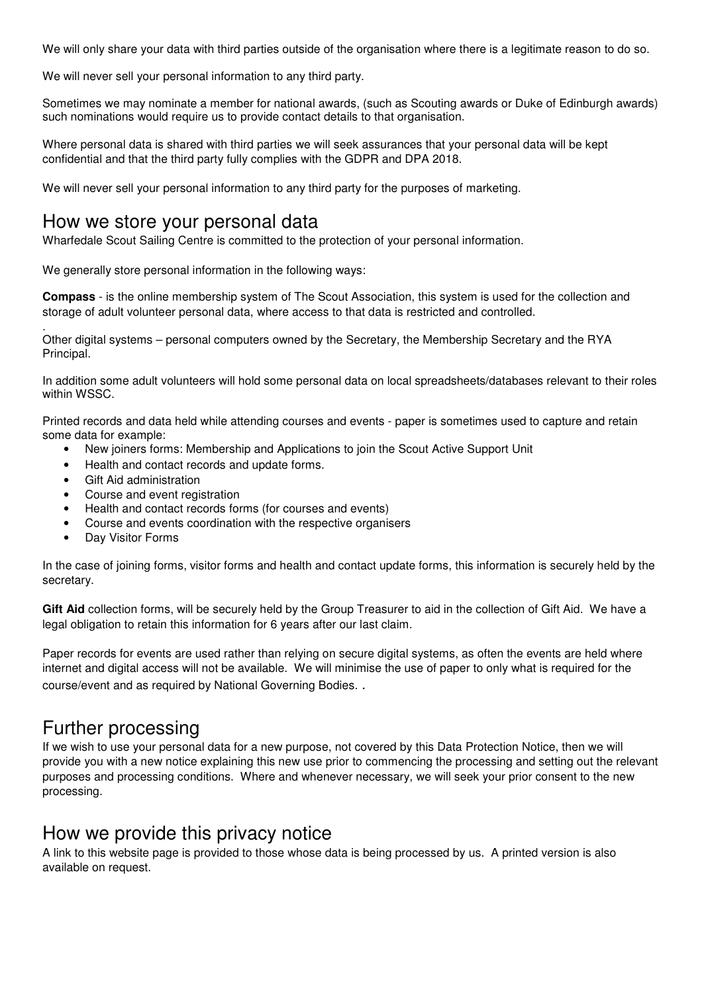We will only share your data with third parties outside of the organisation where there is a legitimate reason to do so.

We will never sell your personal information to any third party.

Sometimes we may nominate a member for national awards, (such as Scouting awards or Duke of Edinburgh awards) such nominations would require us to provide contact details to that organisation.

Where personal data is shared with third parties we will seek assurances that your personal data will be kept confidential and that the third party fully complies with the GDPR and DPA 2018.

We will never sell your personal information to any third party for the purposes of marketing.

## How we store your personal data

Wharfedale Scout Sailing Centre is committed to the protection of your personal information.

We generally store personal information in the following ways:

**Compass** - is the online membership system of The Scout Association, this system is used for the collection and storage of adult volunteer personal data, where access to that data is restricted and controlled.

. Other digital systems – personal computers owned by the Secretary, the Membership Secretary and the RYA Principal.

In addition some adult volunteers will hold some personal data on local spreadsheets/databases relevant to their roles within WSSC.

Printed records and data held while attending courses and events - paper is sometimes used to capture and retain some data for example:

- New joiners forms: Membership and Applications to join the Scout Active Support Unit
- Health and contact records and update forms.
- Gift Aid administration
- Course and event registration
- Health and contact records forms (for courses and events)
- Course and events coordination with the respective organisers
- Day Visitor Forms

In the case of joining forms, visitor forms and health and contact update forms, this information is securely held by the secretary.

**Gift Aid** collection forms, will be securely held by the Group Treasurer to aid in the collection of Gift Aid. We have a legal obligation to retain this information for 6 years after our last claim.

Paper records for events are used rather than relying on secure digital systems, as often the events are held where internet and digital access will not be available. We will minimise the use of paper to only what is required for the course/event and as required by National Governing Bodies. .

## Further processing

If we wish to use your personal data for a new purpose, not covered by this Data Protection Notice, then we will provide you with a new notice explaining this new use prior to commencing the processing and setting out the relevant purposes and processing conditions. Where and whenever necessary, we will seek your prior consent to the new processing.

## How we provide this privacy notice

A link to this website page is provided to those whose data is being processed by us. A printed version is also available on request.